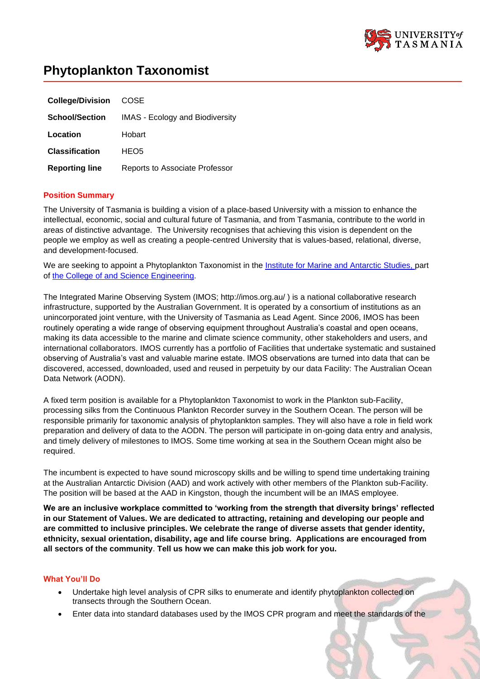

# **Phytoplankton Taxonomist**

| <b>College/Division</b> | <b>COSE</b>                            |
|-------------------------|----------------------------------------|
| <b>School/Section</b>   | <b>IMAS</b> - Ecology and Biodiversity |
| Location                | Hobart                                 |
| <b>Classification</b>   | HEO <sub>5</sub>                       |
| <b>Reporting line</b>   | Reports to Associate Professor         |

# **Position Summary**

The University of Tasmania is building a vision of a place-based University with a mission to enhance the intellectual, economic, social and cultural future of Tasmania, and from Tasmania, contribute to the world in areas of distinctive advantage. The University recognises that achieving this vision is dependent on the people we employ as well as creating a people-centred University that is values-based, relational, diverse, and development-focused.

We are seeking to appoint a Phytoplankton Taxonomist in the [Institute](https://www.imas.utas.edu.au/) for [Marine](https://www.imas.utas.edu.au/) and Antarctic Studies, part of the College of and [Science](https://www.utas.edu.au/sciences-engineering) Engineering.

The Integrated Marine Observing System (IMOS; http://imos.org.au/ ) is a national collaborative research infrastructure, supported by the Australian Government. It is operated by a consortium of institutions as an unincorporated joint venture, with the University of Tasmania as Lead Agent. Since 2006, IMOS has been routinely operating a wide range of observing equipment throughout Australia's coastal and open oceans, making its data accessible to the marine and climate science community, other stakeholders and users, and international collaborators. IMOS currently has a portfolio of Facilities that undertake systematic and sustained observing of Australia's vast and valuable marine estate. IMOS observations are turned into data that can be discovered, accessed, downloaded, used and reused in perpetuity by our data Facility: The Australian Ocean Data Network (AODN).

A fixed term position is available for a Phytoplankton Taxonomist to work in the Plankton sub-Facility, processing silks from the Continuous Plankton Recorder survey in the Southern Ocean. The person will be responsible primarily for taxonomic analysis of phytoplankton samples. They will also have a role in field work preparation and delivery of data to the AODN. The person will participate in on-going data entry and analysis, and timely delivery of milestones to IMOS. Some time working at sea in the Southern Ocean might also be required.

The incumbent is expected to have sound microscopy skills and be willing to spend time undertaking training at the Australian Antarctic Division (AAD) and work actively with other members of the Plankton sub-Facility. The position will be based at the AAD in Kingston, though the incumbent will be an IMAS employee.

**We are an inclusive workplace committed to 'working from the strength that diversity brings' reflected in our Statement of Values. We are dedicated to attracting, retaining and developing our people and are committed to inclusive principles. We celebrate the range of diverse assets that gender identity, ethnicity, sexual orientation, disability, age and life course bring. Applications are encouraged from all sectors of the community**. **Tell us how we can make this job work for you.**

## **What You'll Do**

- Undertake high level analysis of CPR silks to enumerate and identify phytoplankton collected on transects through the Southern Ocean.
- Enter data into standard databases used by the IMOS CPR program and meet the standards of the